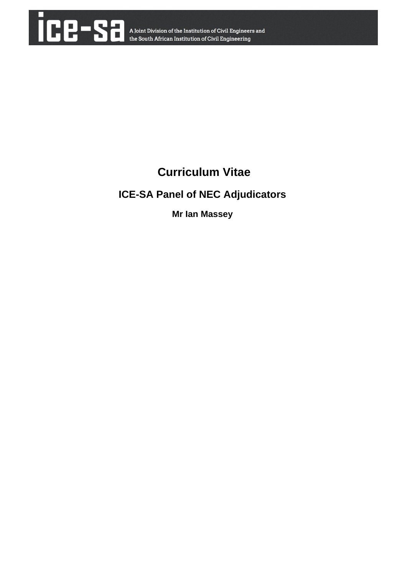

# **Curriculum Vitae**

# **ICE-SA Panel of NEC Adjudicators**

**Mr Ian Massey**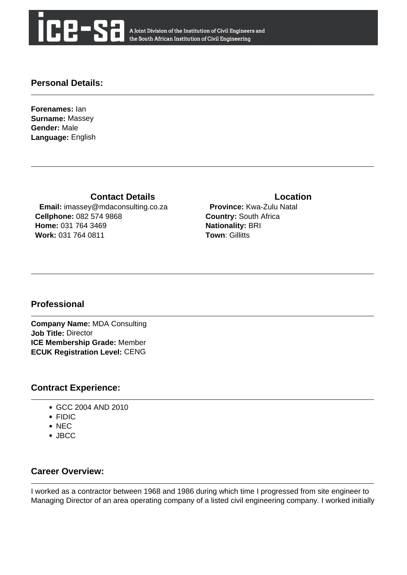

A Joint Division of the Institution of Civil Engineers and the South African Institution of Civil Engineering

#### **Personal Details:**

**Forenames:** Ian **Surname:** Massey **Gender:** Male **Language:** English

**Contact Details Contact Details** 

 **Email:** imassey@mdaconsulting.co.za **Cellphone:** 082 574 9868 **Home:** 031 764 3469 **Work:** 031 764 0811

 **Province:** Kwa-Zulu Natal **Country:** South Africa **Nationality:** BRI **Town: Gillitts** 

#### **Professional**

**Company Name:** MDA Consulting **Job Title:** Director **ICE Membership Grade:** Member **ECUK Registration Level:** CENG

#### **Contract Experience:**

- GCC 2004 AND 2010
- FIDIC
- NEC
- JBCC

# **Career Overview:**

I worked as a contractor between 1968 and 1986 during which time I progressed from site engineer to Managing Director of an area operating company of a listed civil engineering company. I worked initially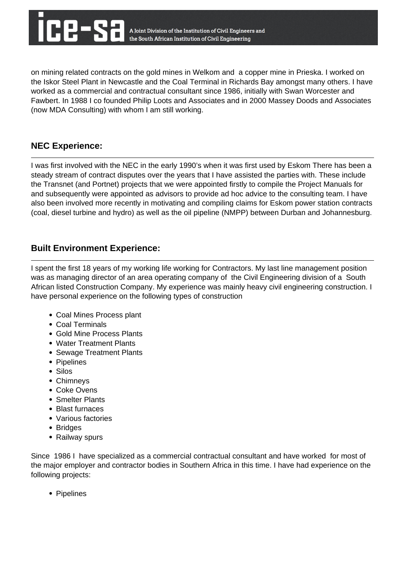on mining related contracts on the gold mines in Welkom and a copper mine in Prieska. I worked on the Iskor Steel Plant in Newcastle and the Coal Terminal in Richards Bay amongst many others. I have worked as a commercial and contractual consultant since 1986, initially with Swan Worcester and Fawbert. In 1988 I co founded Philip Loots and Associates and in 2000 Massey Doods and Associates (now MDA Consulting) with whom I am still working.

### **NEC Experience:**

I was first involved with the NEC in the early 1990's when it was first used by Eskom There has been a steady stream of contract disputes over the years that I have assisted the parties with. These include the Transnet (and Portnet) projects that we were appointed firstly to compile the Project Manuals for and subsequently were appointed as advisors to provide ad hoc advice to the consulting team. I have also been involved more recently in motivating and compiling claims for Eskom power station contracts (coal, diesel turbine and hydro) as well as the oil pipeline (NMPP) between Durban and Johannesburg.

# **Built Environment Experience:**

I spent the first 18 years of my working life working for Contractors. My last line management position was as managing director of an area operating company of the Civil Engineering division of a South African listed Construction Company. My experience was mainly heavy civil engineering construction. I have personal experience on the following types of construction

- Coal Mines Process plant
- Coal Terminals
- Gold Mine Process Plants
- Water Treatment Plants
- Sewage Treatment Plants
- Pipelines
- Silos
- Chimneys
- Coke Ovens
- Smelter Plants
- Blast furnaces
- Various factories
- Bridges
- Railway spurs

Since 1986 I have specialized as a commercial contractual consultant and have worked for most of the major employer and contractor bodies in Southern Africa in this time. I have had experience on the following projects:

• Pipelines